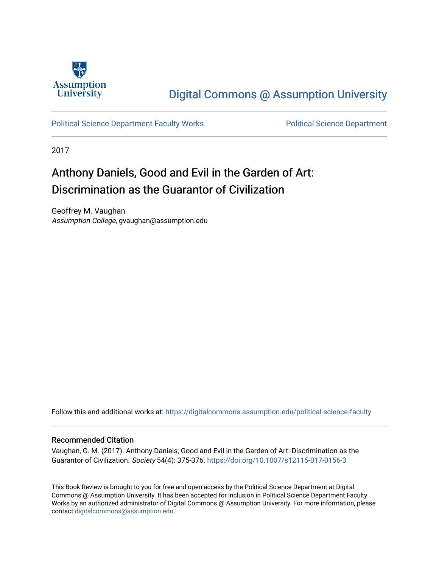

## [Digital Commons @ Assumption University](https://digitalcommons.assumption.edu/)

[Political Science Department Faculty Works](https://digitalcommons.assumption.edu/political-science-faculty) [Political Science Department](https://digitalcommons.assumption.edu/political-science) 

2017

## Anthony Daniels, Good and Evil in the Garden of Art: Discrimination as the Guarantor of Civilization

Geoffrey M. Vaughan Assumption College, gvaughan@assumption.edu

Follow this and additional works at: [https://digitalcommons.assumption.edu/political-science-faculty](https://digitalcommons.assumption.edu/political-science-faculty?utm_source=digitalcommons.assumption.edu%2Fpolitical-science-faculty%2F52&utm_medium=PDF&utm_campaign=PDFCoverPages)

## Recommended Citation

Vaughan, G. M. (2017). Anthony Daniels, Good and Evil in the Garden of Art: Discrimination as the Guarantor of Civilization. Society 54(4): 375-376. <https://doi.org/10.1007/s12115-017-0156-3>

This Book Review is brought to you for free and open access by the Political Science Department at Digital Commons @ Assumption University. It has been accepted for inclusion in Political Science Department Faculty Works by an authorized administrator of Digital Commons @ Assumption University. For more information, please contact [digitalcommons@assumption.edu.](mailto:digitalcommons@assumption.edu)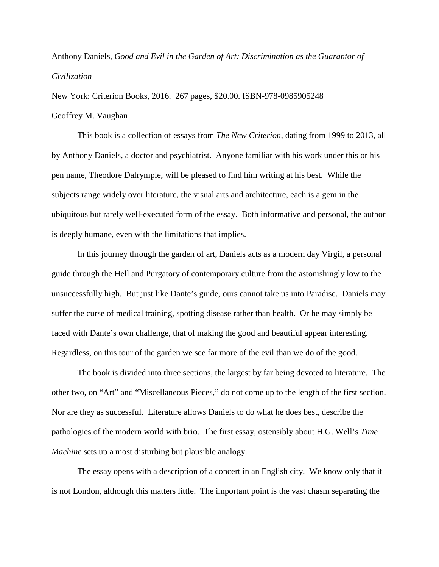## Anthony Daniels, *Good and Evil in the Garden of Art: Discrimination as the Guarantor of Civilization*

New York: Criterion Books, 2016. 267 pages, \$20.00. ISBN-978-0985905248 Geoffrey M. Vaughan

This book is a collection of essays from *The New Criterion*, dating from 1999 to 2013, all by Anthony Daniels, a doctor and psychiatrist. Anyone familiar with his work under this or his pen name, Theodore Dalrymple, will be pleased to find him writing at his best. While the subjects range widely over literature, the visual arts and architecture, each is a gem in the ubiquitous but rarely well-executed form of the essay. Both informative and personal, the author is deeply humane, even with the limitations that implies.

In this journey through the garden of art, Daniels acts as a modern day Virgil, a personal guide through the Hell and Purgatory of contemporary culture from the astonishingly low to the unsuccessfully high. But just like Dante's guide, ours cannot take us into Paradise. Daniels may suffer the curse of medical training, spotting disease rather than health. Or he may simply be faced with Dante's own challenge, that of making the good and beautiful appear interesting. Regardless, on this tour of the garden we see far more of the evil than we do of the good.

The book is divided into three sections, the largest by far being devoted to literature. The other two, on "Art" and "Miscellaneous Pieces," do not come up to the length of the first section. Nor are they as successful. Literature allows Daniels to do what he does best, describe the pathologies of the modern world with brio. The first essay, ostensibly about H.G. Well's *Time Machine* sets up a most disturbing but plausible analogy.

The essay opens with a description of a concert in an English city. We know only that it is not London, although this matters little. The important point is the vast chasm separating the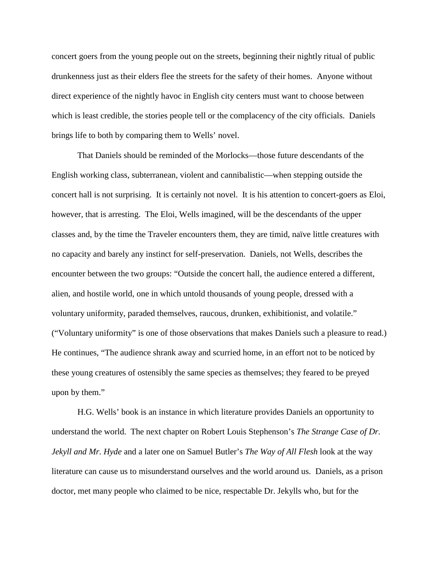concert goers from the young people out on the streets, beginning their nightly ritual of public drunkenness just as their elders flee the streets for the safety of their homes. Anyone without direct experience of the nightly havoc in English city centers must want to choose between which is least credible, the stories people tell or the complacency of the city officials. Daniels brings life to both by comparing them to Wells' novel.

That Daniels should be reminded of the Morlocks—those future descendants of the English working class, subterranean, violent and cannibalistic—when stepping outside the concert hall is not surprising. It is certainly not novel. It is his attention to concert-goers as Eloi, however, that is arresting. The Eloi, Wells imagined, will be the descendants of the upper classes and, by the time the Traveler encounters them, they are timid, naïve little creatures with no capacity and barely any instinct for self-preservation. Daniels, not Wells, describes the encounter between the two groups: "Outside the concert hall, the audience entered a different, alien, and hostile world, one in which untold thousands of young people, dressed with a voluntary uniformity, paraded themselves, raucous, drunken, exhibitionist, and volatile." ("Voluntary uniformity" is one of those observations that makes Daniels such a pleasure to read.) He continues, "The audience shrank away and scurried home, in an effort not to be noticed by these young creatures of ostensibly the same species as themselves; they feared to be preyed upon by them."

H.G. Wells' book is an instance in which literature provides Daniels an opportunity to understand the world. The next chapter on Robert Louis Stephenson's *The Strange Case of Dr. Jekyll and Mr. Hyde* and a later one on Samuel Butler's *The Way of All Flesh* look at the way literature can cause us to misunderstand ourselves and the world around us. Daniels, as a prison doctor, met many people who claimed to be nice, respectable Dr. Jekylls who, but for the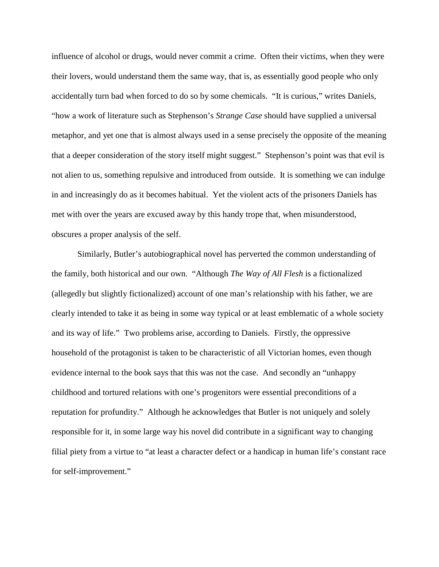influence of alcohol or drugs, would never commit a crime. Often their victims, when they were their lovers, would understand them the same way, that is, as essentially good people who only accidentally turn bad when forced to do so by some chemicals. "It is curious," writes Daniels, "how a work of literature such as Stephenson's *Strange Case* should have supplied a universal metaphor, and yet one that is almost always used in a sense precisely the opposite of the meaning that a deeper consideration of the story itself might suggest." Stephenson's point was that evil is not alien to us, something repulsive and introduced from outside. It is something we can indulge in and increasingly do as it becomes habitual. Yet the violent acts of the prisoners Daniels has met with over the years are excused away by this handy trope that, when misunderstood, obscures a proper analysis of the self.

Similarly, Butler's autobiographical novel has perverted the common understanding of the family, both historical and our own. "Although *The Way of All Flesh* is a fictionalized (allegedly but slightly fictionalized) account of one man's relationship with his father, we are clearly intended to take it as being in some way typical or at least emblematic of a whole society and its way of life." Two problems arise, according to Daniels. Firstly, the oppressive household of the protagonist is taken to be characteristic of all Victorian homes, even though evidence internal to the book says that this was not the case. And secondly an "unhappy childhood and tortured relations with one's progenitors were essential preconditions of a reputation for profundity." Although he acknowledges that Butler is not uniquely and solely responsible for it, in some large way his novel did contribute in a significant way to changing filial piety from a virtue to "at least a character defect or a handicap in human life's constant race for self-improvement."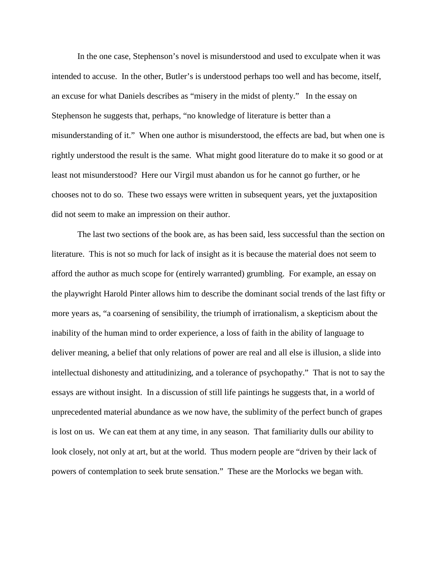In the one case, Stephenson's novel is misunderstood and used to exculpate when it was intended to accuse. In the other, Butler's is understood perhaps too well and has become, itself, an excuse for what Daniels describes as "misery in the midst of plenty." In the essay on Stephenson he suggests that, perhaps, "no knowledge of literature is better than a misunderstanding of it." When one author is misunderstood, the effects are bad, but when one is rightly understood the result is the same. What might good literature do to make it so good or at least not misunderstood? Here our Virgil must abandon us for he cannot go further, or he chooses not to do so. These two essays were written in subsequent years, yet the juxtaposition did not seem to make an impression on their author.

The last two sections of the book are, as has been said, less successful than the section on literature. This is not so much for lack of insight as it is because the material does not seem to afford the author as much scope for (entirely warranted) grumbling. For example, an essay on the playwright Harold Pinter allows him to describe the dominant social trends of the last fifty or more years as, "a coarsening of sensibility, the triumph of irrationalism, a skepticism about the inability of the human mind to order experience, a loss of faith in the ability of language to deliver meaning, a belief that only relations of power are real and all else is illusion, a slide into intellectual dishonesty and attitudinizing, and a tolerance of psychopathy." That is not to say the essays are without insight. In a discussion of still life paintings he suggests that, in a world of unprecedented material abundance as we now have, the sublimity of the perfect bunch of grapes is lost on us. We can eat them at any time, in any season. That familiarity dulls our ability to look closely, not only at art, but at the world. Thus modern people are "driven by their lack of powers of contemplation to seek brute sensation." These are the Morlocks we began with.